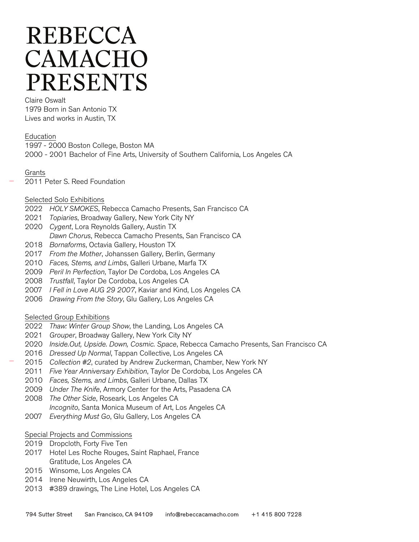# **REBECCA** CAMACHO **PRESENTS**

Claire Oswalt 1979 Born in San Antonio TX Lives and works in Austin, TX

Education

1997 - 2000 Boston College, Boston MA 2000 - 2001 Bachelor of Fine Arts, University of Southern California, Los Angeles CA

- Grants
- 2011 Peter S. Reed Foundation

### Selected Solo Exhibitions

- 2022 HOLY SMOKES, Rebecca Camacho Presents, San Francisco CA
- 2021 Topiaries, Broadway Gallery, New York City NY
- 2020 Cygent, Lora Reynolds Gallery, Austin TX
- Dawn Chorus, Rebecca Camacho Presents, San Francisco CA
- 2018 Bornaforms, Octavia Gallery, Houston TX
- 2017 From the Mother, Johanssen Gallery, Berlin, Germany
- 2010 Faces, Stems, and Limbs, Galleri Urbane, Marfa TX
- 2009 Peril In Perfection, Taylor De Cordoba, Los Angeles CA
- 2008 Trustfall, Taylor De Cordoba, Los Angeles CA
- 2007 I Fell in Love AUG 29 2007, Kaviar and Kind, Los Angeles CA
- 2006 Drawing From the Story, Glu Gallery, Los Angeles CA

#### Selected Group Exhibitions

- 2022 Thaw: Winter Group Show, the Landing, Los Angeles CA
- 2021 Grouper, Broadway Gallery, New York City NY
- 2020 Inside.Out, Upside. Down, Cosmic. Space, Rebecca Camacho Presents, San Francisco CA
- 2016 Dressed Up Normal, Tappan Collective, Los Angeles CA
- 2015 Collection #2, curated by Andrew Zuckerman, Chamber, New York NY
- 2011 Five Year Anniversary Exhibition, Taylor De Cordoba, Los Angeles CA
- 2010 Faces, Stems, and Limbs, Galleri Urbane, Dallas TX
- 2009 Under The Knife, Armory Center for the Arts, Pasadena CA
- 2008 The Other Side, Roseark, Los Angeles CA Incognito, Santa Monica Museum of Art, Los Angeles CA
- 
- 2007 Everything Must Go, Glu Gallery, Los Angeles CA

#### Special Projects and Commissions

- 2019 Dropcloth, Forty Five Ten
- 2017 Hotel Les Roche Rouges, Saint Raphael, France Gratitude, Los Angeles CA
- 2015 Winsome, Los Angeles CA
- 2014 Irene Neuwirth, Los Angeles CA
- 2013 #389 drawings, The Line Hotel, Los Angeles CA